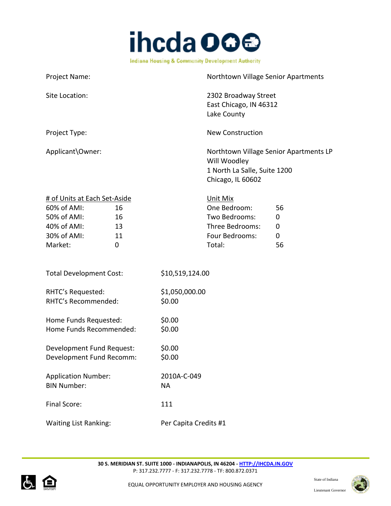

| Project Name:                                                                                                                    |                                                                                          | Northtown Village Senior Apartments    |
|----------------------------------------------------------------------------------------------------------------------------------|------------------------------------------------------------------------------------------|----------------------------------------|
| Site Location:                                                                                                                   | 2302 Broadway Street<br>East Chicago, IN 46312<br>Lake County                            |                                        |
| Project Type:                                                                                                                    | <b>New Construction</b>                                                                  |                                        |
| Applicant\Owner:                                                                                                                 | Will Woodley<br>1 North La Salle, Suite 1200<br>Chicago, IL 60602                        | Northtown Village Senior Apartments LP |
| # of Units at Each Set-Aside<br>60% of AMI:<br>16<br>50% of AMI:<br>16<br>40% of AMI:<br>13<br>30% of AMI:<br>11<br>Market:<br>0 | Unit Mix<br>One Bedroom:<br>Two Bedrooms:<br>Three Bedrooms:<br>Four Bedrooms:<br>Total: | 56<br>0<br>$\mathbf 0$<br>0<br>56      |
| <b>Total Development Cost:</b>                                                                                                   | \$10,519,124.00                                                                          |                                        |
| RHTC's Requested:<br>RHTC's Recommended:                                                                                         | \$1,050,000.00<br>\$0.00                                                                 |                                        |
| Home Funds Requested:<br>Home Funds Recommended:                                                                                 | \$0.00<br>\$0.00                                                                         |                                        |
| Development Fund Request:<br>Development Fund Recomm:                                                                            | \$0.00<br>\$0.00                                                                         |                                        |
| <b>Application Number:</b><br><b>BIN Number:</b>                                                                                 | 2010A-C-049<br><b>NA</b>                                                                 |                                        |
| Final Score:                                                                                                                     | 111                                                                                      |                                        |
| <b>Waiting List Ranking:</b>                                                                                                     | Per Capita Credits #1                                                                    |                                        |



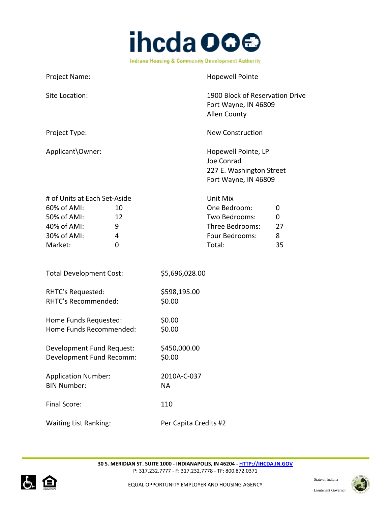

| Project Name:                                                                                                                  | <b>Hopewell Pointe</b>                                                                                              |
|--------------------------------------------------------------------------------------------------------------------------------|---------------------------------------------------------------------------------------------------------------------|
| Site Location:                                                                                                                 | 1900 Block of Reservation Drive<br>Fort Wayne, IN 46809<br>Allen County                                             |
| Project Type:                                                                                                                  | <b>New Construction</b>                                                                                             |
| Applicant\Owner:                                                                                                               | Hopewell Pointe, LP<br>Joe Conrad<br>227 E. Washington Street<br>Fort Wayne, IN 46809                               |
| # of Units at Each Set-Aside<br>60% of AMI:<br>10<br>50% of AMI:<br>12<br>40% of AMI:<br>9<br>30% of AMI:<br>4<br>Market:<br>0 | Unit Mix<br>One Bedroom:<br>0<br>Two Bedrooms:<br>0<br>Three Bedrooms:<br>27<br>Four Bedrooms:<br>8<br>Total:<br>35 |
| <b>Total Development Cost:</b>                                                                                                 | \$5,696,028.00                                                                                                      |
| RHTC's Requested:<br>RHTC's Recommended:                                                                                       | \$598,195.00<br>\$0.00                                                                                              |
| Home Funds Requested:<br>Home Funds Recommended:                                                                               | \$0.00<br>\$0.00                                                                                                    |
| Development Fund Request:<br>Development Fund Recomm:                                                                          | \$450,000.00<br>\$0.00                                                                                              |
| <b>Application Number:</b><br><b>BIN Number:</b>                                                                               | 2010A-C-037<br><b>NA</b>                                                                                            |
| Final Score:                                                                                                                   | 110                                                                                                                 |
| <b>Waiting List Ranking:</b>                                                                                                   | Per Capita Credits #2                                                                                               |



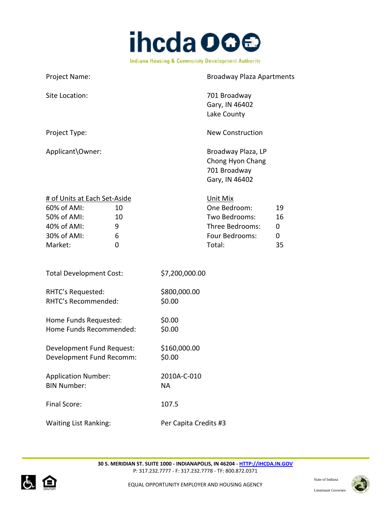

| Project Name:                                                                                                                  | <b>Broadway Plaza Apartments</b>                                                                                     |
|--------------------------------------------------------------------------------------------------------------------------------|----------------------------------------------------------------------------------------------------------------------|
| Site Location:                                                                                                                 | 701 Broadway<br>Gary, IN 46402<br>Lake County                                                                        |
| Project Type:                                                                                                                  | <b>New Construction</b>                                                                                              |
| Applicant\Owner:                                                                                                               | Broadway Plaza, LP<br>Chong Hyon Chang<br>701 Broadway<br>Gary, IN 46402                                             |
| # of Units at Each Set-Aside<br>60% of AMI:<br>10<br>50% of AMI:<br>10<br>40% of AMI:<br>9<br>30% of AMI:<br>6<br>Market:<br>0 | Unit Mix<br>One Bedroom:<br>19<br>Two Bedrooms:<br>16<br>Three Bedrooms:<br>0<br>Four Bedrooms:<br>0<br>Total:<br>35 |
| <b>Total Development Cost:</b>                                                                                                 | \$7,200,000.00                                                                                                       |
| RHTC's Requested:<br>RHTC's Recommended:                                                                                       | \$800,000.00<br>\$0.00                                                                                               |
| Home Funds Requested:<br>Home Funds Recommended:                                                                               | \$0.00<br>\$0.00                                                                                                     |
| Development Fund Request:<br>Development Fund Recomm:                                                                          | \$160,000.00<br>\$0.00                                                                                               |
| <b>Application Number:</b><br><b>BIN Number:</b>                                                                               | 2010A-C-010<br><b>NA</b>                                                                                             |
| Final Score:                                                                                                                   | 107.5                                                                                                                |
| <b>Waiting List Ranking:</b>                                                                                                   | Per Capita Credits #3                                                                                                |



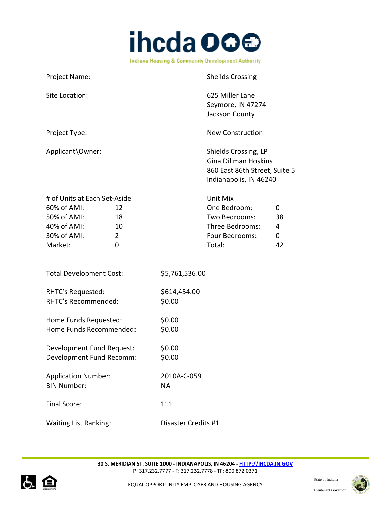

| Project Name:                                                                                                                   | <b>Sheilds Crossing</b>                                                                                             |
|---------------------------------------------------------------------------------------------------------------------------------|---------------------------------------------------------------------------------------------------------------------|
| Site Location:                                                                                                                  | 625 Miller Lane<br>Seymore, IN 47274<br>Jackson County                                                              |
| Project Type:                                                                                                                   | <b>New Construction</b>                                                                                             |
| Applicant\Owner:                                                                                                                | Shields Crossing, LP<br><b>Gina Dillman Hoskins</b><br>860 East 86th Street, Suite 5<br>Indianapolis, IN 46240      |
| # of Units at Each Set-Aside<br>60% of AMI:<br>12<br>50% of AMI:<br>18<br>40% of AMI:<br>10<br>30% of AMI:<br>2<br>Market:<br>0 | Unit Mix<br>One Bedroom:<br>0<br>Two Bedrooms:<br>38<br>Three Bedrooms:<br>4<br>Four Bedrooms:<br>0<br>Total:<br>42 |
| <b>Total Development Cost:</b>                                                                                                  | \$5,761,536.00                                                                                                      |
| RHTC's Requested:<br>RHTC's Recommended:                                                                                        | \$614,454.00<br>\$0.00                                                                                              |
| Home Funds Requested:<br>Home Funds Recommended:                                                                                | \$0.00<br>\$0.00                                                                                                    |
| Development Fund Request:<br>Development Fund Recomm:                                                                           | \$0.00<br>\$0.00                                                                                                    |
| <b>Application Number:</b><br><b>BIN Number:</b>                                                                                | 2010A-C-059<br><b>NA</b>                                                                                            |
| Final Score:                                                                                                                    | 111                                                                                                                 |
| <b>Waiting List Ranking:</b>                                                                                                    | Disaster Credits #1                                                                                                 |



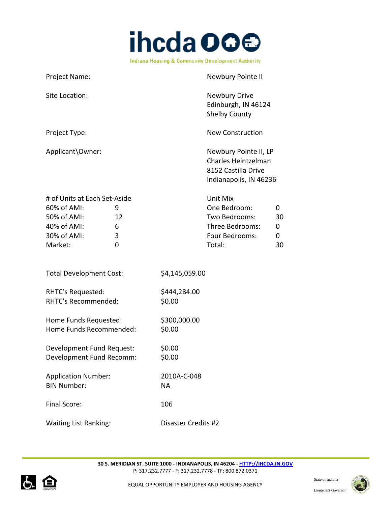

| Project Name:                                                                                                                 | Newbury Pointe II                                                                                                   |
|-------------------------------------------------------------------------------------------------------------------------------|---------------------------------------------------------------------------------------------------------------------|
| Site Location:                                                                                                                | Newbury Drive<br>Edinburgh, IN 46124<br><b>Shelby County</b>                                                        |
| Project Type:                                                                                                                 | <b>New Construction</b>                                                                                             |
| Applicant\Owner:                                                                                                              | Newbury Pointe II, LP<br>Charles Heintzelman<br>8152 Castilla Drive<br>Indianapolis, IN 46236                       |
| # of Units at Each Set-Aside<br>60% of AMI:<br>9<br>50% of AMI:<br>12<br>40% of AMI:<br>6<br>30% of AMI:<br>3<br>Market:<br>0 | Unit Mix<br>One Bedroom:<br>0<br>Two Bedrooms:<br>30<br>Three Bedrooms:<br>0<br>Four Bedrooms:<br>0<br>Total:<br>30 |
| <b>Total Development Cost:</b>                                                                                                | \$4,145,059.00                                                                                                      |
| RHTC's Requested:<br>RHTC's Recommended:                                                                                      | \$444,284.00<br>\$0.00                                                                                              |
| Home Funds Requested:<br>Home Funds Recommended:                                                                              | \$300,000.00<br>\$0.00                                                                                              |
| Development Fund Request:<br>Development Fund Recomm:                                                                         | \$0.00<br>\$0.00                                                                                                    |
| <b>Application Number:</b><br><b>BIN Number:</b>                                                                              | 2010A-C-048<br><b>NA</b>                                                                                            |
| Final Score:                                                                                                                  | 106                                                                                                                 |
| <b>Waiting List Ranking:</b>                                                                                                  | Disaster Credits #2                                                                                                 |



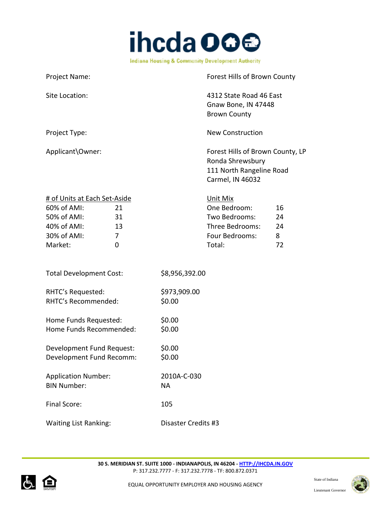

| Project Name:                                                                                                                   | Forest Hills of Brown County                                                                                          |
|---------------------------------------------------------------------------------------------------------------------------------|-----------------------------------------------------------------------------------------------------------------------|
| Site Location:                                                                                                                  | 4312 State Road 46 East<br>Gnaw Bone, IN 47448<br><b>Brown County</b>                                                 |
| Project Type:                                                                                                                   | <b>New Construction</b>                                                                                               |
| Applicant\Owner:                                                                                                                | Forest Hills of Brown County, LP<br>Ronda Shrewsbury<br>111 North Rangeline Road<br>Carmel, IN 46032                  |
| # of Units at Each Set-Aside<br>60% of AMI:<br>21<br>50% of AMI:<br>31<br>40% of AMI:<br>13<br>30% of AMI:<br>7<br>Market:<br>0 | Unit Mix<br>One Bedroom:<br>16<br>Two Bedrooms:<br>24<br>Three Bedrooms:<br>24<br>Four Bedrooms:<br>8<br>Total:<br>72 |
| <b>Total Development Cost:</b>                                                                                                  | \$8,956,392.00                                                                                                        |
| RHTC's Requested:<br>RHTC's Recommended:                                                                                        | \$973,909.00<br>\$0.00                                                                                                |
| Home Funds Requested:<br>Home Funds Recommended:                                                                                | \$0.00<br>\$0.00                                                                                                      |
| Development Fund Request:<br>Development Fund Recomm:                                                                           | \$0.00<br>\$0.00                                                                                                      |
| <b>Application Number:</b><br><b>BIN Number:</b>                                                                                | 2010A-C-030<br><b>NA</b>                                                                                              |
| Final Score:                                                                                                                    | 105                                                                                                                   |
| <b>Waiting List Ranking:</b>                                                                                                    | Disaster Credits #3                                                                                                   |



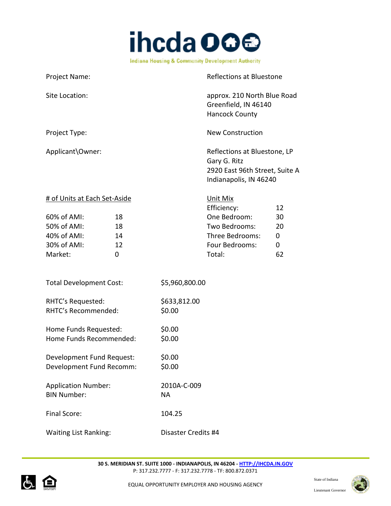

| <b>Project Name:</b>         | Reflections at Bluestone                                                                                 |
|------------------------------|----------------------------------------------------------------------------------------------------------|
| Site Location:               | approx. 210 North Blue Road<br>Greenfield, IN 46140<br><b>Hancock County</b>                             |
| Project Type:                | <b>New Construction</b>                                                                                  |
| Applicant\Owner:             | Reflections at Bluestone, LP<br>Gary G. Ritz<br>2920 East 96th Street, Suite A<br>Indianapolis, IN 46240 |
| # of Units at Each Set-Aside | Unit Mix<br>Efficiency:<br>12                                                                            |

|                |    | <b>ELIICIELICY.</b> | $\sqrt{ }$   |
|----------------|----|---------------------|--------------|
| $60\%$ of AMI: | 18 | One Bedroom:        | 30           |
| 50% of AMI:    | 18 | Two Bedrooms:       | 20           |
| 40% of AMI:    | 14 | Three Bedrooms:     | <sup>n</sup> |
| 30% of AMI:    | 12 | Four Bedrooms:      | 0            |
| Market:        |    | Total:              | 62           |

| <b>Total Development Cost:</b> | \$5,960,800.00 |
|--------------------------------|----------------|
| RHTC's Requested:              | \$633,812.00   |
| RHTC's Recommended:            | \$0.00         |
| Home Funds Requested:          | \$0.00         |
| Home Funds Recommended:        | \$0.00         |

| Development Fund Request: | \$0.00 |
|---------------------------|--------|
| Development Fund Recomm:  | \$0.00 |
|                           |        |

| <b>Application Number:</b> | 2010A-C-009 |
|----------------------------|-------------|
| <b>BIN Number:</b>         | NА          |
| Final Score:               | 104.25      |

Waiting List Ranking: Disaster Credits #4



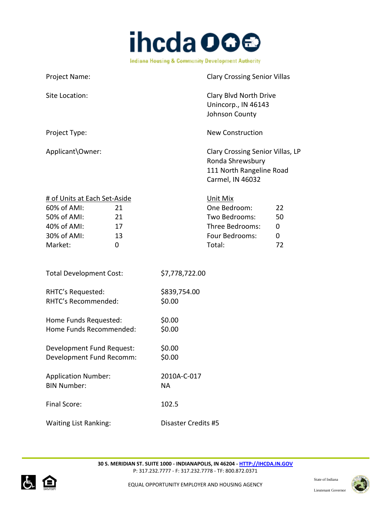

| Project Name:                                                                                                                    | <b>Clary Crossing Senior Villas</b>                                                                                  |
|----------------------------------------------------------------------------------------------------------------------------------|----------------------------------------------------------------------------------------------------------------------|
| Site Location:                                                                                                                   | Clary Blvd North Drive<br>Unincorp., IN 46143<br>Johnson County                                                      |
| Project Type:                                                                                                                    | <b>New Construction</b>                                                                                              |
| Applicant\Owner:                                                                                                                 | Clary Crossing Senior Villas, LP<br>Ronda Shrewsbury<br>111 North Rangeline Road<br>Carmel, IN 46032                 |
| # of Units at Each Set-Aside<br>60% of AMI:<br>21<br>50% of AMI:<br>21<br>40% of AMI:<br>17<br>30% of AMI:<br>13<br>Market:<br>0 | Unit Mix<br>One Bedroom:<br>22<br>Two Bedrooms:<br>50<br>Three Bedrooms:<br>0<br>Four Bedrooms:<br>0<br>Total:<br>72 |
| <b>Total Development Cost:</b>                                                                                                   | \$7,778,722.00                                                                                                       |
| RHTC's Requested:<br>RHTC's Recommended:                                                                                         | \$839,754.00<br>\$0.00                                                                                               |
| Home Funds Requested:<br>Home Funds Recommended:                                                                                 | \$0.00<br>\$0.00                                                                                                     |
| Development Fund Request:<br>Development Fund Recomm:                                                                            | \$0.00<br>\$0.00                                                                                                     |
| <b>Application Number:</b><br><b>BIN Number:</b>                                                                                 | 2010A-C-017<br><b>NA</b>                                                                                             |
| Final Score:                                                                                                                     | 102.5                                                                                                                |
| <b>Waiting List Ranking:</b>                                                                                                     | <b>Disaster Credits #5</b>                                                                                           |